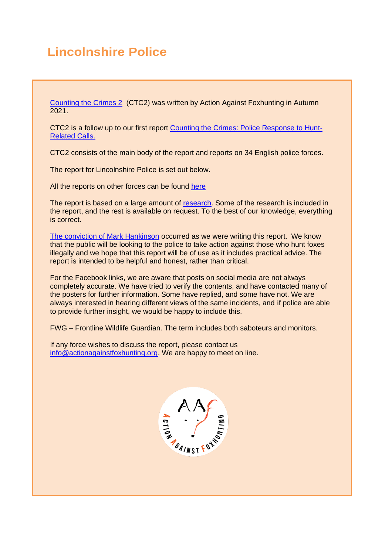# **Lincolnshire Police**

[Counting the Crimes 2](https://www.actionagainstfoxhunting.org/counting-the-crimes2-the-police-response/) (CTC2) was written by Action Against Foxhunting in Autumn 2021.

CTC2 is a follow up to our first report [Counting the Crimes: Police Response to Hunt-](https://www.actionagainstfoxhunting.org/counting-the-crimes/)[Related Calls.](https://www.actionagainstfoxhunting.org/counting-the-crimes/)

CTC2 consists of the main body of the report and reports on 34 English police forces.

The report for Lincolnshire Police is set out below.

All the reports on other forces can be found [here](https://www.actionagainstfoxhunting.org/counting-the-crimes2-the-police-response/)

The report is based on a large amount of [research.](https://www.actionagainstfoxhunting.org/wp-content/uploads/2021/11/A-1411-Research-for-CTC2.pdf) Some of the research is included in the report, and the rest is available on request. To the best of our knowledge, everything is correct.

[The conviction of Mark Hankinson](https://www.league.org.uk/news-and-resources/news/hunting-office-webinars-the-road-to-conviction/) occurred as we were writing this report. We know that the public will be looking to the police to take action against those who hunt foxes illegally and we hope that this report will be of use as it includes practical advice. The report is intended to be helpful and honest, rather than critical.

For the Facebook links, we are aware that posts on social media are not always completely accurate. We have tried to verify the contents, and have contacted many of the posters for further information. Some have replied, and some have not. We are always interested in hearing different views of the same incidents, and if police are able to provide further insight, we would be happy to include this.

FWG – Frontline Wildlife Guardian. The term includes both saboteurs and monitors.

If any force wishes to discuss the report, please contact us [info@actionagainstfoxhunting.org.](mailto:info@actionagainstfoxhunting.org) We are happy to meet on line.

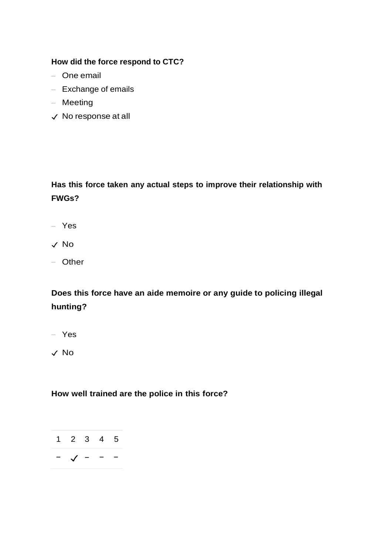### **How did the force respond to CTC?**

- One email
- Exchange of emails
- Meeting
- ✓ No response at all

**Has this force taken any actual steps to improve their relationship with FWGs?**

- Yes
- ✓ No
- Other

**Does this force have an aide memoire or any guide to policing illegal hunting?**

- Yes
- ✓ No

# **How well trained are the police in this force?**

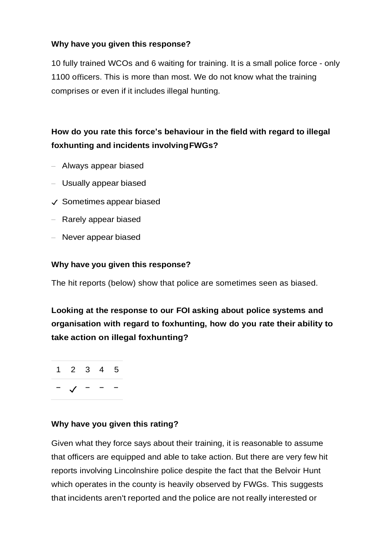## **Why have you given this response?**

10 fully trained WCOs and 6 waiting for training. It is a small police force - only 1100 officers. This is more than most. We do not know what the training comprises or even if it includes illegal hunting.

# **How do you rate this force's behaviour in the field with regard to illegal foxhunting and incidents involvingFWGs?**

- Always appear biased
- Usually appear biased
- ✓ Sometimes appear biased
- Rarely appear biased
- Never appear biased

#### **Why have you given this response?**

The hit reports (below) show that police are sometimes seen as biased.

**Looking at the response to our FOI asking about police systems and organisation with regard to foxhunting, how do you rate their ability to take action on illegal foxhunting?**

1 2 3 4 5 − ✓ − − −

## **Why have you given this rating?**

Given what they force says about their training, it is reasonable to assume that officers are equipped and able to take action. But there are very few hit reports involving Lincolnshire police despite the fact that the Belvoir Hunt which operates in the county is heavily observed by FWGs. This suggests that incidents aren't reported and the police are not really interested or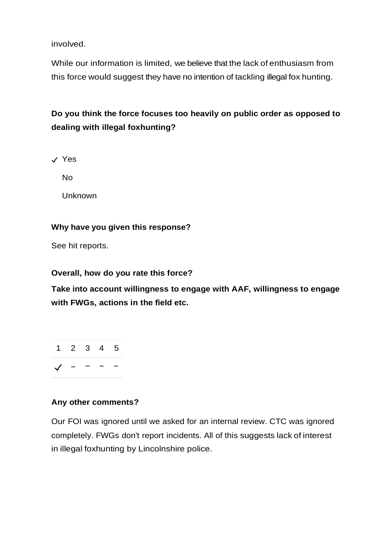involved.

While our information is limited, we believe that the lack of enthusiasm from this force would suggest they have no intention of tackling illegal fox hunting.

# **Do you think the force focuses too heavily on public order as opposed to dealing with illegal foxhunting?**

✓ Yes

No

Unknown

### **Why have you given this response?**

See hit reports.

#### **Overall, how do you rate this force?**

**Take into account willingness to engage with AAF, willingness to engage with FWGs, actions in the field etc.**



### **Any other comments?**

Our FOI was ignored until we asked for an internal review. CTC was ignored completely. FWGs don't report incidents. All of this suggests lack of interest in illegal foxhunting by Lincolnshire police.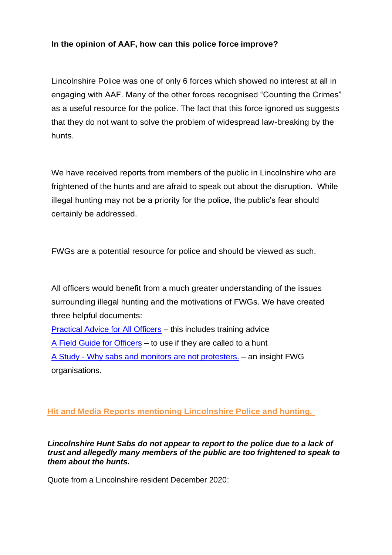## **In the opinion of AAF, how can this police force improve?**

Lincolnshire Police was one of only 6 forces which showed no interest at all in engaging with AAF. Many of the other forces recognised "Counting the Crimes" as a useful resource for the police. The fact that this force ignored us suggests that they do not want to solve the problem of widespread law-breaking by the hunts.

We have received reports from members of the public in Lincolnshire who are frightened of the hunts and are afraid to speak out about the disruption. While illegal hunting may not be a priority for the police, the public's fear should certainly be addressed.

FWGs are a potential resource for police and should be viewed as such.

All officers would benefit from a much greater understanding of the issues surrounding illegal hunting and the motivations of FWGs. We have created three helpful documents:

[Practical Advice for All Officers](https://www.actionagainstfoxhunting.org/wp-content/uploads/2021/11/B-1411-Practical-Advice-for-all-Police-Forces.pdf) – this includes training advice [A Field Guide for Officers](https://www.actionagainstfoxhunting.org/wp-content/uploads/2021/11/A-1411-FIELD-GUIDE-ILLEGAL-FOXHUNTING.pdf) – to use if they are called to a hunt A Study - [Why sabs and monitors are not protesters.](https://www.actionagainstfoxhunting.org/wp-content/uploads/2021/11/A-1411-Why-sabs-and-monitors-arent-protesters.pdf) – an insight FWG organisations.

# **Hit and Media Reports mentioning Lincolnshire Police and hunting.**

*Lincolnshire Hunt Sabs do not appear to report to the police due to a lack of trust and allegedly many members of the public are too frightened to speak to them about the hunts.*

Quote from a Lincolnshire resident December 2020: